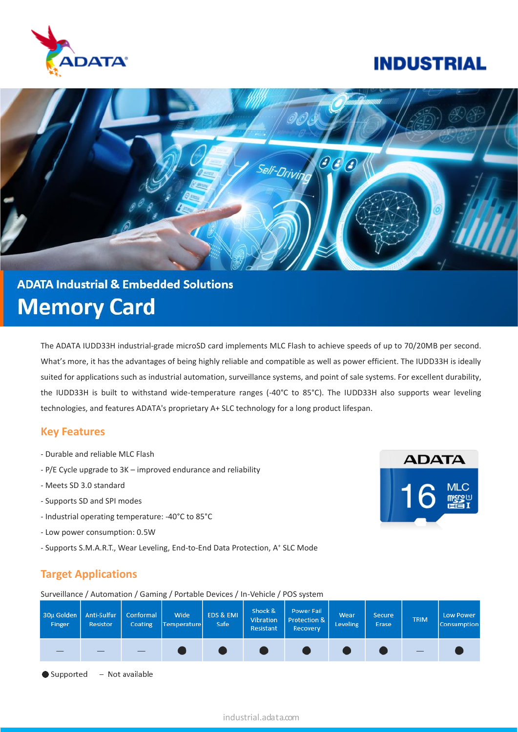

## **INDUSTRIAL**



# **ADATA Industrial & Embedded Solutions Memory Card**

The ADATA IUDD33H industrial-grade microSD card implements MLC Flash to achieve speeds of up to 70/20MB per second. What's more, it has the advantages of being highly reliable and compatible as well as power efficient. The IUDD33H is ideally suited for applications such as industrial automation, surveillance systems, and point of sale systems. For excellent durability, the IUDD33H is built to withstand wide-temperature ranges (-40°C to 85°C). The IUDD33H also supports wear leveling technologies, and features ADATA's proprietary A+ SLC technology for a long product lifespan.

#### **Key Features**

- Durable and reliable MLC Flash
- P/E Cycle upgrade to 3K improved endurance and reliability
- Meets SD 3.0 standard
- Supports SD and SPI modes
- Industrial operating temperature: -40°C to 85°C
- Low power consumption: 0.5W
- Supports S.M.A.R.T., Wear Leveling, End-to-End Data Protection, A<sup>+</sup> SLC Mode

## **Target Applications**

Surveillance / Automation / Gaming / Portable Devices / In-Vehicle / POS system

| 30µ Golden<br>Finger | Anti-Sulfur<br><b>Resistor</b> | Conformal<br>Coating | Wide<br>Temperature | EDS & EMI<br>Safe | Shock &<br>Vibration<br>Resistant | Power Fail<br>Protection &<br>Recovery | Wear<br><b>Leveling</b> | Secure<br>Erase | <b>TRIM</b> | <b>Low Power</b><br>Consumption |
|----------------------|--------------------------------|----------------------|---------------------|-------------------|-----------------------------------|----------------------------------------|-------------------------|-----------------|-------------|---------------------------------|
|                      |                                |                      |                     |                   |                                   |                                        |                         |                 | _           |                                 |

- Not available  $\bullet$  Supported